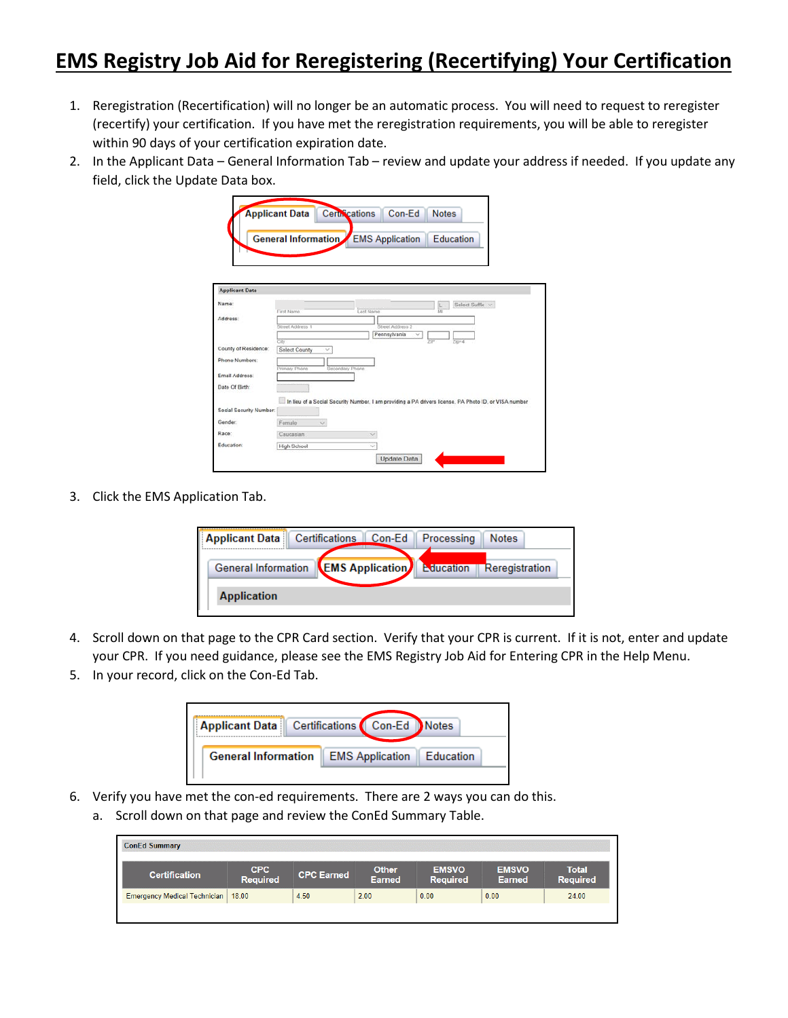## **EMS Registry Job Aid for Reregistering (Recertifying) Your Certification**

- 1. Reregistration (Recertification) will no longer be an automatic process. You will need to request to reregister (recertify) your certification. If you have met the reregistration requirements, you will be able to reregister within 90 days of your certification expiration date.
- 2. In the Applicant Data General Information Tab review and update your address if needed. If you update any field, click the Update Data box.

|                         | <b>Applicant Data</b>      | Certifications<br>Con-Ed<br><b>Notes</b>                                                              |
|-------------------------|----------------------------|-------------------------------------------------------------------------------------------------------|
|                         |                            |                                                                                                       |
|                         |                            | <b>General Information</b> EMS Application<br><b>Education</b>                                        |
|                         |                            |                                                                                                       |
|                         |                            |                                                                                                       |
|                         |                            |                                                                                                       |
| <b>Applicant Data</b>   |                            |                                                                                                       |
| Name:                   |                            | Select Suffix v                                                                                       |
| Address:                | First Name                 | Last Name                                                                                             |
|                         | Street Address 1           | Street Address 2                                                                                      |
|                         |                            | Pennsylvania<br>$\checkmark$                                                                          |
| County of Residence:    | City<br>Select County<br>v | Zer4<br><b>29P</b>                                                                                    |
| Phone Numbers:          |                            |                                                                                                       |
|                         | Primary Phone              | Secondary Phone                                                                                       |
| Email Address:          |                            |                                                                                                       |
| Date Of Birth:          |                            |                                                                                                       |
|                         |                            | In lieu of a Social Security Number, I am providing a PA drivers license, PA Photo ID, or VISA number |
| Social Security Number: |                            |                                                                                                       |
| Gender.                 | Female<br>$\omega$         |                                                                                                       |
| Race:                   | Caucasian                  | si.                                                                                                   |
| Education:              | <b>High School</b>         | ×                                                                                                     |
|                         |                            | Update Data                                                                                           |

3. Click the EMS Application Tab.



- 4. Scroll down on that page to the CPR Card section. Verify that your CPR is current. If it is not, enter and update your CPR. If you need guidance, please see the EMS Registry Job Aid for Entering CPR in the Help Menu.
- 5. In your record, click on the Con-Ed Tab.



- 6. Verify you have met the con-ed requirements. There are 2 ways you can do this.
	- a. Scroll down on that page and review the ConEd Summary Table.

| CPC<br><b>Required</b>                      | <b>CPC Earned</b> | <b>Other</b><br><b>Earned</b> | <b>EMSVO</b><br><b>Required</b> | <b>EMSVO</b><br><b>Earned</b> | <b>Total</b><br><b>Required</b> |
|---------------------------------------------|-------------------|-------------------------------|---------------------------------|-------------------------------|---------------------------------|
| <b>Emergency Medical Technician   18.00</b> | 4.50              | 2.00                          | 0.00                            | 0.00                          | 24.00                           |
|                                             |                   |                               |                                 |                               |                                 |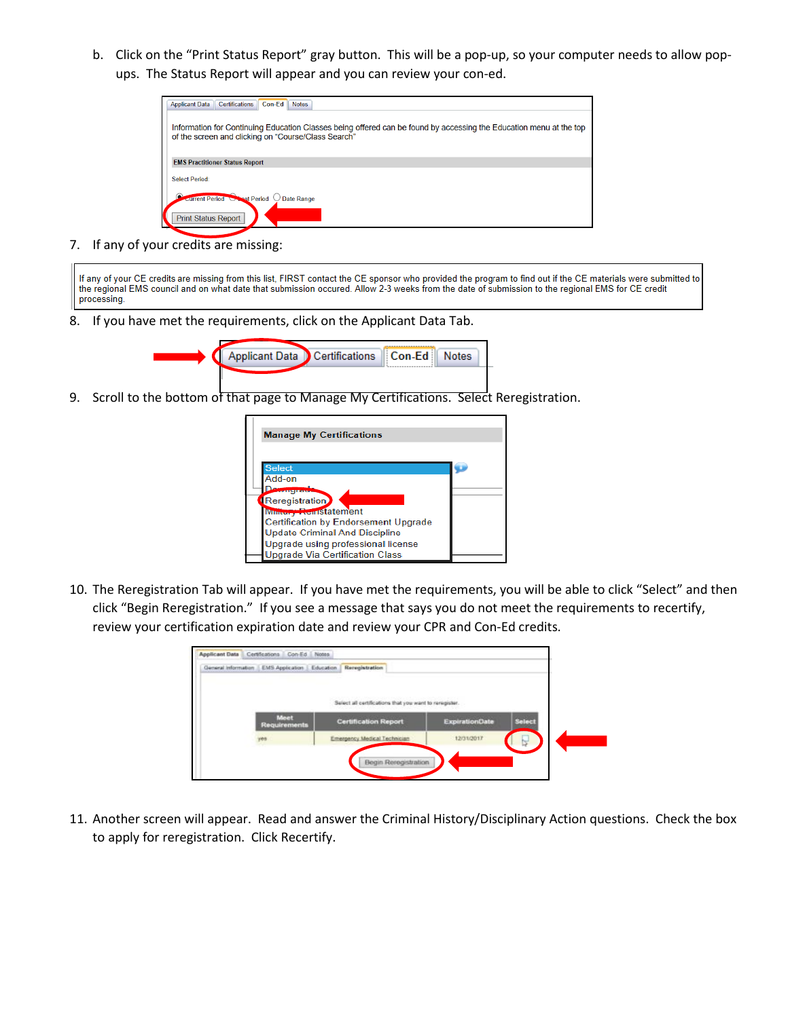b. Click on the "Print Status Report" gray button. This will be a pop-up, so your computer needs to allow popups. The Status Report will appear and you can review your con-ed.

| Certifications<br>Con-Ed<br><b>Applicant Data</b><br><b>Notes</b>                                                                                                         |
|---------------------------------------------------------------------------------------------------------------------------------------------------------------------------|
| Information for Continuing Education Classes being offered can be found by accessing the Education menu at the top<br>of the screen and clicking on "Course/Class Search" |
| <b>EMS Practitioner Status Report</b>                                                                                                                                     |
| <b>Select Period:</b>                                                                                                                                                     |
| current Period<br><b>Lest Period</b><br><b>Date Range</b><br><b>Print Status Report</b>                                                                                   |

7. If any of your credits are missing:

If any of your CE credits are missing from this list, FIRST contact the CE sponsor who provided the program to find out if the CE materials were submitted to the regional EMS council and on what date that submission occured. Allow 2-3 weeks from the date of submission to the regional EMS for CE credit processing.

8. If you have met the requirements, click on the Applicant Data Tab.



9. Scroll to the bottom of that page to Manage My Certifications. Select Reregistration.

| <b>Manage My Certifications</b>             |  |
|---------------------------------------------|--|
| <b>Select</b>                               |  |
| Add-on                                      |  |
| <b>COLLEGE DE STATE</b>                     |  |
| Reregistration                              |  |
| <b>Mintery AvillStatement</b>               |  |
| <b>Certification by Endorsement Upgrade</b> |  |
| <b>Update Criminal And Discipline</b>       |  |
| Upgrade using professional license          |  |
| Upgrade Via Certification Class             |  |

10. The Reregistration Tab will appear. If you have met the requirements, you will be able to click "Select" and then click "Begin Reregistration." If you see a message that says you do not meet the requirements to recertify, review your certification expiration date and review your CPR and Con-Ed credits.

| General Information   EMS Application   Education | Reregistration                                         |                       |               |
|---------------------------------------------------|--------------------------------------------------------|-----------------------|---------------|
|                                                   | TOTAL MANDOLD CHARGED TO CONDITION OF WASHINGTON       |                       |               |
|                                                   | Select all certifications that you want to reregister. |                       |               |
| <b>Meet</b><br>Requirements                       | <b>Certification Report</b>                            | <b>ExpirationDate</b> | <b>Select</b> |
| pég.                                              | Emergency Medical Technician                           | 12/31/2017            | ₻             |

11. Another screen will appear. Read and answer the Criminal History/Disciplinary Action questions. Check the box to apply for reregistration. Click Recertify.